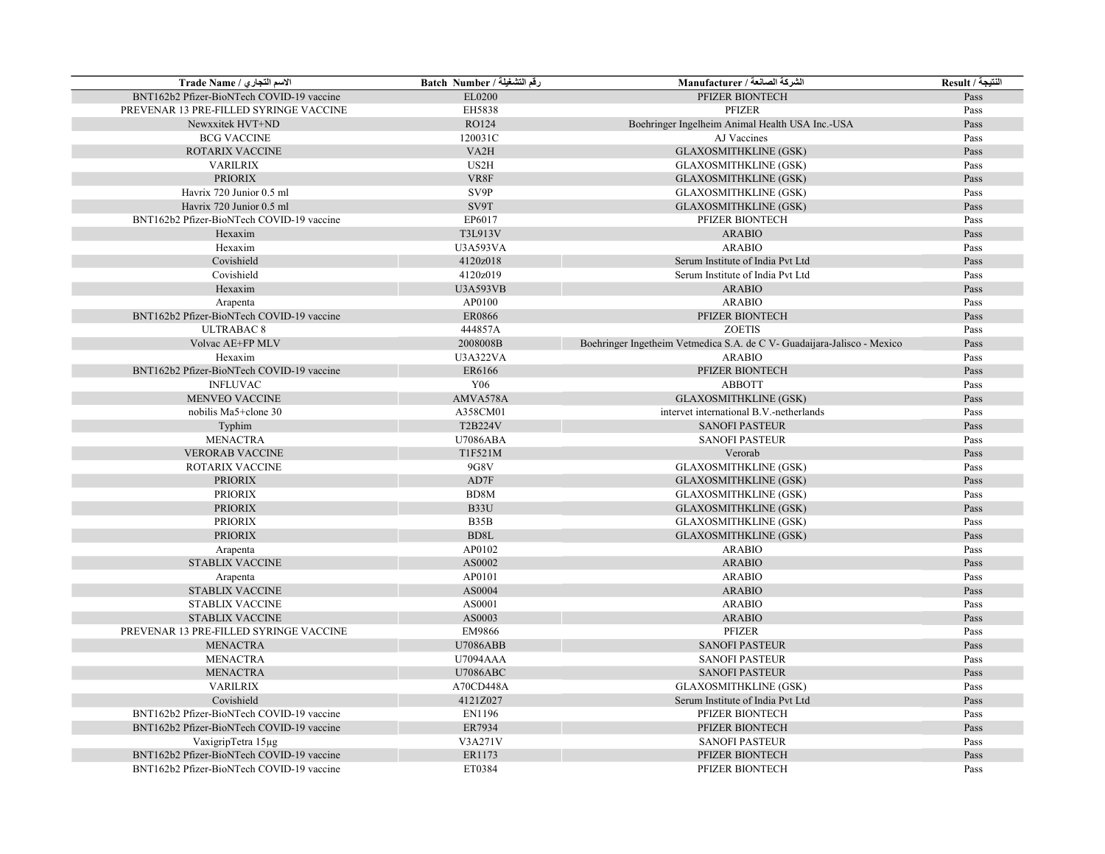| الاسم التجاري / Trade Name                | رقم التشغيلة / Batch Number | الشركة الصانعة / Manufacturer                                           | النتيجة / Result |
|-------------------------------------------|-----------------------------|-------------------------------------------------------------------------|------------------|
| BNT162b2 Pfizer-BioNTech COVID-19 vaccine | EL0200                      | PFIZER BIONTECH                                                         | Pass             |
| PREVENAR 13 PRE-FILLED SYRINGE VACCINE    | EH5838                      | PFIZER                                                                  | Pass             |
| Newxxitek HVT+ND                          | RO124                       | Boehringer Ingelheim Animal Health USA Inc.-USA                         | Pass             |
| <b>BCG VACCINE</b>                        | 120031C                     | AJ Vaccines                                                             | Pass             |
| ROTARIX VACCINE                           | VA <sub>2</sub> H           | <b>GLAXOSMITHKLINE (GSK)</b>                                            | Pass             |
| <b>VARILRIX</b>                           | US2H                        | <b>GLAXOSMITHKLINE (GSK)</b>                                            | Pass             |
| <b>PRIORIX</b>                            | VR8F                        | <b>GLAXOSMITHKLINE (GSK)</b>                                            | Pass             |
| Havrix 720 Junior 0.5 ml                  | SV9P                        | <b>GLAXOSMITHKLINE (GSK)</b>                                            | Pass             |
| Havrix 720 Junior 0.5 ml                  | SV9T                        | <b>GLAXOSMITHKLINE (GSK)</b>                                            | Pass             |
| BNT162b2 Pfizer-BioNTech COVID-19 vaccine | EP6017                      | PFIZER BIONTECH                                                         | Pass             |
| Hexaxim                                   | T3L913V                     | <b>ARABIO</b>                                                           | Pass             |
| Hexaxim                                   | <b>U3A593VA</b>             | <b>ARABIO</b>                                                           | Pass             |
| Covishield                                | 4120z018                    | Serum Institute of India Pvt Ltd                                        | Pass             |
| Covishield                                | 4120z019                    | Serum Institute of India Pvt Ltd                                        | Pass             |
| Hexaxim                                   | <b>U3A593VB</b>             | <b>ARABIO</b>                                                           | Pass             |
| Arapenta                                  | AP0100                      | <b>ARABIO</b>                                                           | Pass             |
| BNT162b2 Pfizer-BioNTech COVID-19 vaccine | <b>ER0866</b>               | PFIZER BIONTECH                                                         | Pass             |
| <b>ULTRABAC 8</b>                         | 444857A                     | <b>ZOETIS</b>                                                           | Pass             |
| Volvac AE+FP MLV                          | 2008008B                    | Boehringer Ingetheim Vetmedica S.A. de C V- Guadaijara-Jalisco - Mexico | Pass             |
| Hexaxim                                   | U3A322VA                    | <b>ARABIO</b>                                                           | Pass             |
| BNT162b2 Pfizer-BioNTech COVID-19 vaccine | ER6166                      | PFIZER BIONTECH                                                         | Pass             |
| <b>INFLUVAC</b>                           | Y06                         | <b>ABBOTT</b>                                                           | Pass             |
| <b>MENVEO VACCINE</b>                     | AMVA578A                    | <b>GLAXOSMITHKLINE (GSK)</b>                                            | Pass             |
| nobilis Ma5+clone 30                      | A358CM01                    | intervet international B.V.-netherlands                                 | Pass             |
| Typhim                                    | T2B224V                     | <b>SANOFI PASTEUR</b>                                                   | Pass             |
| <b>MENACTRA</b>                           | <b>U7086ABA</b>             | <b>SANOFI PASTEUR</b>                                                   | Pass             |
| <b>VERORAB VACCINE</b>                    | T1F521M                     | Verorab                                                                 | Pass             |
| ROTARIX VACCINE                           | 9G8V                        | <b>GLAXOSMITHKLINE (GSK)</b>                                            | Pass             |
| <b>PRIORIX</b>                            | AD7F                        | <b>GLAXOSMITHKLINE (GSK)</b>                                            | Pass             |
| <b>PRIORIX</b>                            | BD8M                        | <b>GLAXOSMITHKLINE (GSK)</b>                                            | Pass             |
| <b>PRIORIX</b>                            | B33U                        | <b>GLAXOSMITHKLINE (GSK)</b>                                            | Pass             |
| <b>PRIORIX</b>                            | B35B                        | <b>GLAXOSMITHKLINE (GSK)</b>                                            | Pass             |
| <b>PRIORIX</b>                            | BD <sub>8</sub> L           | <b>GLAXOSMITHKLINE (GSK)</b>                                            | Pass             |
| Arapenta                                  | AP0102                      | <b>ARABIO</b>                                                           | Pass             |
| STABLIX VACCINE                           | AS0002                      | <b>ARABIO</b>                                                           | Pass             |
| Arapenta                                  | AP0101                      | <b>ARABIO</b>                                                           | Pass             |
| <b>STABLIX VACCINE</b>                    | AS0004                      | <b>ARABIO</b>                                                           | Pass             |
| <b>STABLIX VACCINE</b>                    | AS0001                      | <b>ARABIO</b>                                                           | Pass             |
| <b>STABLIX VACCINE</b>                    | AS0003                      | <b>ARABIO</b>                                                           | Pass             |
| PREVENAR 13 PRE-FILLED SYRINGE VACCINE    | EM9866                      | PFIZER                                                                  | Pass             |
| <b>MENACTRA</b>                           | <b>U7086ABB</b>             | <b>SANOFI PASTEUR</b>                                                   | Pass             |
| <b>MENACTRA</b>                           | <b>U7094AAA</b>             | <b>SANOFI PASTEUR</b>                                                   | Pass             |
| <b>MENACTRA</b>                           | <b>U7086ABC</b>             | <b>SANOFI PASTEUR</b>                                                   | Pass             |
| <b>VARILRIX</b>                           | A70CD448A                   | <b>GLAXOSMITHKLINE (GSK)</b>                                            | Pass             |
| Covishield                                | 4121Z027                    | Serum Institute of India Pvt Ltd                                        | Pass             |
| BNT162b2 Pfizer-BioNTech COVID-19 vaccine | EN1196                      | PFIZER BIONTECH                                                         | Pass             |
| BNT162b2 Pfizer-BioNTech COVID-19 vaccine | ER7934                      | PFIZER BIONTECH                                                         | Pass             |
| VaxigripTetra 15µg                        | V3A271V                     | <b>SANOFI PASTEUR</b>                                                   | Pass             |
| BNT162b2 Pfizer-BioNTech COVID-19 vaccine | ER1173                      | PFIZER BIONTECH                                                         | Pass             |
| BNT162b2 Pfizer-BioNTech COVID-19 vaccine | ET0384                      | PFIZER BIONTECH                                                         | Pass             |
|                                           |                             |                                                                         |                  |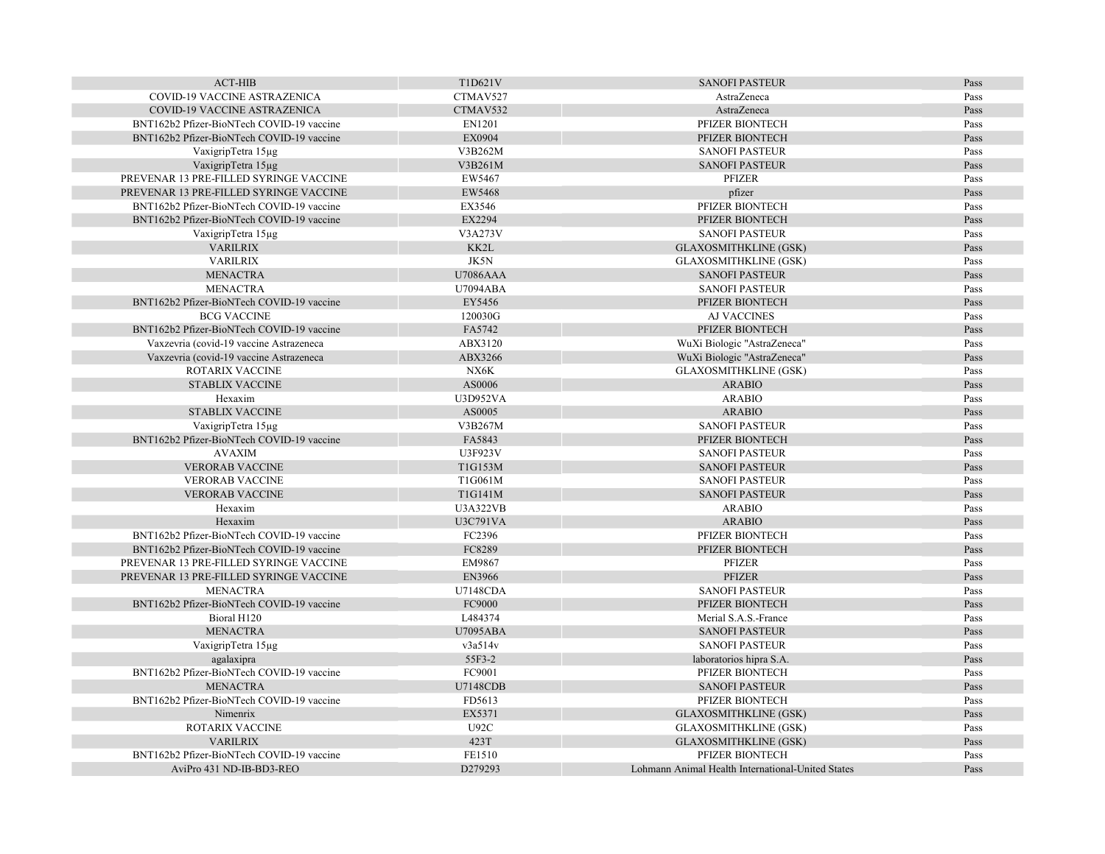| <b>ACT-HIB</b>                                                    | T1D621V         | <b>SANOFI PASTEUR</b>                             | Pass |
|-------------------------------------------------------------------|-----------------|---------------------------------------------------|------|
| COVID-19 VACCINE ASTRAZENICA                                      | CTMAV527        | AstraZeneca                                       | Pass |
| <b>COVID-19 VACCINE ASTRAZENICA</b>                               | CTMAV532        | AstraZeneca                                       | Pass |
| BNT162b2 Pfizer-BioNTech COVID-19 vaccine                         | EN1201          | PFIZER BIONTECH                                   | Pass |
| BNT162b2 Pfizer-BioNTech COVID-19 vaccine                         | EX0904          | PFIZER BIONTECH                                   | Pass |
| VaxigripTetra 15µg                                                | V3B262M         | <b>SANOFI PASTEUR</b>                             | Pass |
| VaxigripTetra 15µg                                                | V3B261M         | <b>SANOFI PASTEUR</b>                             | Pass |
| PREVENAR 13 PRE-FILLED SYRINGE VACCINE                            | EW5467          | PFIZER                                            | Pass |
| PREVENAR 13 PRE-FILLED SYRINGE VACCINE                            | EW5468          | pfizer                                            | Pass |
| BNT162b2 Pfizer-BioNTech COVID-19 vaccine                         | EX3546          | PFIZER BIONTECH                                   | Pass |
| BNT162b2 Pfizer-BioNTech COVID-19 vaccine                         | EX2294          | PFIZER BIONTECH                                   | Pass |
| VaxigripTetra 15µg                                                | V3A273V         | <b>SANOFI PASTEUR</b>                             | Pass |
| <b>VARILRIX</b>                                                   | KK2L            | <b>GLAXOSMITHKLINE (GSK)</b>                      | Pass |
| <b>VARILRIX</b>                                                   | JK5N            | <b>GLAXOSMITHKLINE (GSK)</b>                      | Pass |
| <b>MENACTRA</b>                                                   | <b>U7086AAA</b> | <b>SANOFI PASTEUR</b>                             | Pass |
| <b>MENACTRA</b>                                                   | <b>U7094ABA</b> | <b>SANOFI PASTEUR</b>                             | Pass |
| BNT162b2 Pfizer-BioNTech COVID-19 vaccine                         | EY5456          | PFIZER BIONTECH                                   | Pass |
| <b>BCG VACCINE</b>                                                | 120030G         | <b>AJ VACCINES</b>                                | Pass |
| BNT162b2 Pfizer-BioNTech COVID-19 vaccine                         | FA5742          | PFIZER BIONTECH                                   | Pass |
| Vaxzevria (covid-19 vaccine Astrazeneca                           | ABX3120         | WuXi Biologic "AstraZeneca"                       | Pass |
|                                                                   | ABX3266         |                                                   | Pass |
| Vaxzevria (covid-19 vaccine Astrazeneca<br><b>ROTARIX VACCINE</b> | NX6K            | WuXi Biologic "AstraZeneca"                       | Pass |
|                                                                   |                 | <b>GLAXOSMITHKLINE (GSK)</b>                      |      |
| <b>STABLIX VACCINE</b>                                            | AS0006          | <b>ARABIO</b>                                     | Pass |
| Hexaxim                                                           | U3D952VA        | <b>ARABIO</b>                                     | Pass |
| <b>STABLIX VACCINE</b>                                            | AS0005          | <b>ARABIO</b>                                     | Pass |
| VaxigripTetra 15µg                                                | V3B267M         | <b>SANOFI PASTEUR</b>                             | Pass |
| BNT162b2 Pfizer-BioNTech COVID-19 vaccine                         | FA5843          | PFIZER BIONTECH                                   | Pass |
| <b>AVAXIM</b>                                                     | U3F923V         | <b>SANOFI PASTEUR</b>                             | Pass |
| <b>VERORAB VACCINE</b>                                            | T1G153M         | <b>SANOFI PASTEUR</b>                             | Pass |
| <b>VERORAB VACCINE</b>                                            | T1G061M         | <b>SANOFI PASTEUR</b>                             | Pass |
| <b>VERORAB VACCINE</b>                                            | T1G141M         | <b>SANOFI PASTEUR</b>                             | Pass |
| Hexaxim                                                           | <b>U3A322VB</b> | <b>ARABIO</b>                                     | Pass |
| Hexaxim                                                           | <b>U3C791VA</b> | <b>ARABIO</b>                                     | Pass |
| BNT162b2 Pfizer-BioNTech COVID-19 vaccine                         | FC2396          | PFIZER BIONTECH                                   | Pass |
| BNT162b2 Pfizer-BioNTech COVID-19 vaccine                         | FC8289          | PFIZER BIONTECH                                   | Pass |
| PREVENAR 13 PRE-FILLED SYRINGE VACCINE                            | EM9867          | <b>PFIZER</b>                                     | Pass |
| PREVENAR 13 PRE-FILLED SYRINGE VACCINE                            | EN3966          | <b>PFIZER</b>                                     | Pass |
| <b>MENACTRA</b>                                                   | <b>U7148CDA</b> | <b>SANOFI PASTEUR</b>                             | Pass |
| BNT162b2 Pfizer-BioNTech COVID-19 vaccine                         | FC9000          | PFIZER BIONTECH                                   | Pass |
| Bioral H120                                                       | L484374         | Merial S.A.S.-France                              | Pass |
| <b>MENACTRA</b>                                                   | <b>U7095ABA</b> | <b>SANOFI PASTEUR</b>                             | Pass |
| VaxigripTetra 15µg                                                | v3a514v         | <b>SANOFI PASTEUR</b>                             | Pass |
| agalaxipra                                                        | 55F3-2          | laboratorios hipra S.A.                           | Pass |
| BNT162b2 Pfizer-BioNTech COVID-19 vaccine                         | FC9001          | PFIZER BIONTECH                                   | Pass |
| <b>MENACTRA</b>                                                   | <b>U7148CDB</b> | <b>SANOFI PASTEUR</b>                             | Pass |
| BNT162b2 Pfizer-BioNTech COVID-19 vaccine                         | FD5613          | PFIZER BIONTECH                                   | Pass |
| Nimenrix                                                          | EX5371          | <b>GLAXOSMITHKLINE (GSK)</b>                      | Pass |
| ROTARIX VACCINE                                                   | U92C            | <b>GLAXOSMITHKLINE (GSK)</b>                      | Pass |
| <b>VARILRIX</b>                                                   | 423T            | <b>GLAXOSMITHKLINE (GSK)</b>                      | Pass |
| BNT162b2 Pfizer-BioNTech COVID-19 vaccine                         | FE1510          | PFIZER BIONTECH                                   | Pass |
| AviPro 431 ND-IB-BD3-REO                                          | D279293         | Lohmann Animal Health International-United States | Pass |
|                                                                   |                 |                                                   |      |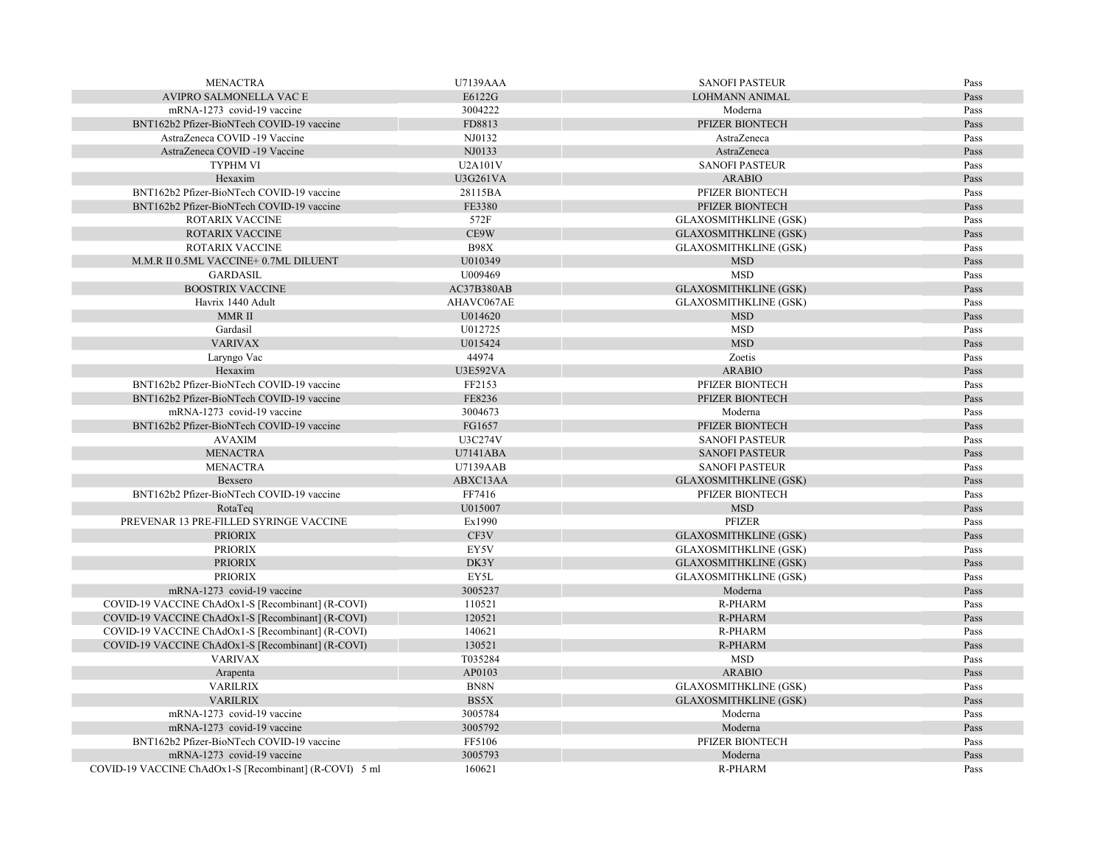| <b>MENACTRA</b>                                        | <b>U7139AAA</b> | <b>SANOFI PASTEUR</b>        | Pass |
|--------------------------------------------------------|-----------------|------------------------------|------|
| AVIPRO SALMONELLA VAC E                                | E6122G          | <b>LOHMANN ANIMAL</b>        | Pass |
| mRNA-1273 covid-19 vaccine                             | 3004222         | Moderna                      | Pass |
| BNT162b2 Pfizer-BioNTech COVID-19 vaccine              | FD8813          | PFIZER BIONTECH              | Pass |
| AstraZeneca COVID -19 Vaccine                          | NJ0132          | AstraZeneca                  | Pass |
| AstraZeneca COVID -19 Vaccine                          | NJ0133          | AstraZeneca                  | Pass |
| <b>TYPHM VI</b>                                        | U2A101V         | <b>SANOFI PASTEUR</b>        | Pass |
| Hexaxim                                                | <b>U3G261VA</b> | <b>ARABIO</b>                | Pass |
| BNT162b2 Pfizer-BioNTech COVID-19 vaccine              | 28115BA         | PFIZER BIONTECH              | Pass |
| BNT162b2 Pfizer-BioNTech COVID-19 vaccine              | FE3380          | PFIZER BIONTECH              | Pass |
| <b>ROTARIX VACCINE</b>                                 | 572F            | <b>GLAXOSMITHKLINE (GSK)</b> | Pass |
| <b>ROTARIX VACCINE</b>                                 | CE9W            | <b>GLAXOSMITHKLINE (GSK)</b> | Pass |
| ROTARIX VACCINE                                        | <b>B98X</b>     | <b>GLAXOSMITHKLINE (GSK)</b> | Pass |
| M.M.R II 0.5ML VACCINE+ 0.7ML DILUENT                  | U010349         | <b>MSD</b>                   | Pass |
| <b>GARDASIL</b>                                        | U009469         | <b>MSD</b>                   | Pass |
| <b>BOOSTRIX VACCINE</b>                                | AC37B380AB      | <b>GLAXOSMITHKLINE (GSK)</b> | Pass |
| Havrix 1440 Adult                                      | AHAVC067AE      | <b>GLAXOSMITHKLINE (GSK)</b> | Pass |
| MMR II                                                 | U014620         | <b>MSD</b>                   | Pass |
| Gardasil                                               | U012725         | <b>MSD</b>                   | Pass |
| <b>VARIVAX</b>                                         | U015424         | <b>MSD</b>                   | Pass |
| Laryngo Vac                                            | 44974           | Zoetis                       | Pass |
| Hexaxim                                                | <b>U3E592VA</b> | <b>ARABIO</b>                | Pass |
| BNT162b2 Pfizer-BioNTech COVID-19 vaccine              | FF2153          | PFIZER BIONTECH              | Pass |
| BNT162b2 Pfizer-BioNTech COVID-19 vaccine              | FE8236          | PFIZER BIONTECH              | Pass |
| mRNA-1273 covid-19 vaccine                             | 3004673         | Moderna                      | Pass |
| BNT162b2 Pfizer-BioNTech COVID-19 vaccine              | FG1657          | PFIZER BIONTECH              | Pass |
| <b>AVAXIM</b>                                          | U3C274V         | <b>SANOFI PASTEUR</b>        | Pass |
| <b>MENACTRA</b>                                        | U7141ABA        | <b>SANOFI PASTEUR</b>        | Pass |
| <b>MENACTRA</b>                                        | U7139AAB        | <b>SANOFI PASTEUR</b>        | Pass |
| Bexsero                                                | ABXC13AA        | <b>GLAXOSMITHKLINE (GSK)</b> | Pass |
| BNT162b2 Pfizer-BioNTech COVID-19 vaccine              | FF7416          | PFIZER BIONTECH              | Pass |
| RotaTeq                                                | U015007         | <b>MSD</b>                   | Pass |
| PREVENAR 13 PRE-FILLED SYRINGE VACCINE                 | Ex1990          | <b>PFIZER</b>                | Pass |
| <b>PRIORIX</b>                                         | CF3V            | <b>GLAXOSMITHKLINE (GSK)</b> | Pass |
| <b>PRIORIX</b>                                         | EY5V            | <b>GLAXOSMITHKLINE (GSK)</b> | Pass |
| <b>PRIORIX</b>                                         | DK3Y            | <b>GLAXOSMITHKLINE (GSK)</b> | Pass |
| <b>PRIORIX</b>                                         | EY5L            | <b>GLAXOSMITHKLINE (GSK)</b> | Pass |
| mRNA-1273 covid-19 vaccine                             | 3005237         | Moderna                      | Pass |
| COVID-19 VACCINE ChAdOx1-S [Recombinant] (R-COVI)      | 110521          | <b>R-PHARM</b>               | Pass |
| COVID-19 VACCINE ChAdOx1-S [Recombinant] (R-COVI)      | 120521          | <b>R-PHARM</b>               | Pass |
| COVID-19 VACCINE ChAdOx1-S [Recombinant] (R-COVI)      | 140621          | <b>R-PHARM</b>               | Pass |
| COVID-19 VACCINE ChAdOx1-S [Recombinant] (R-COVI)      | 130521          | R-PHARM                      | Pass |
| <b>VARIVAX</b>                                         | T035284         | MSD                          | Pass |
| Arapenta                                               | AP0103          | <b>ARABIO</b>                | Pass |
| <b>VARILRIX</b>                                        | BN8N            | <b>GLAXOSMITHKLINE (GSK)</b> | Pass |
| <b>VARILRIX</b>                                        | BS5X            | <b>GLAXOSMITHKLINE (GSK)</b> | Pass |
| mRNA-1273 covid-19 vaccine                             | 3005784         | Moderna                      | Pass |
| mRNA-1273 covid-19 vaccine                             | 3005792         | Moderna                      | Pass |
| BNT162b2 Pfizer-BioNTech COVID-19 vaccine              | FF5106          | PFIZER BIONTECH              | Pass |
| mRNA-1273 covid-19 vaccine                             | 3005793         | Moderna                      | Pass |
| COVID-19 VACCINE ChAdOx1-S [Recombinant] (R-COVI) 5 ml | 160621          | <b>R-PHARM</b>               | Pass |
|                                                        |                 |                              |      |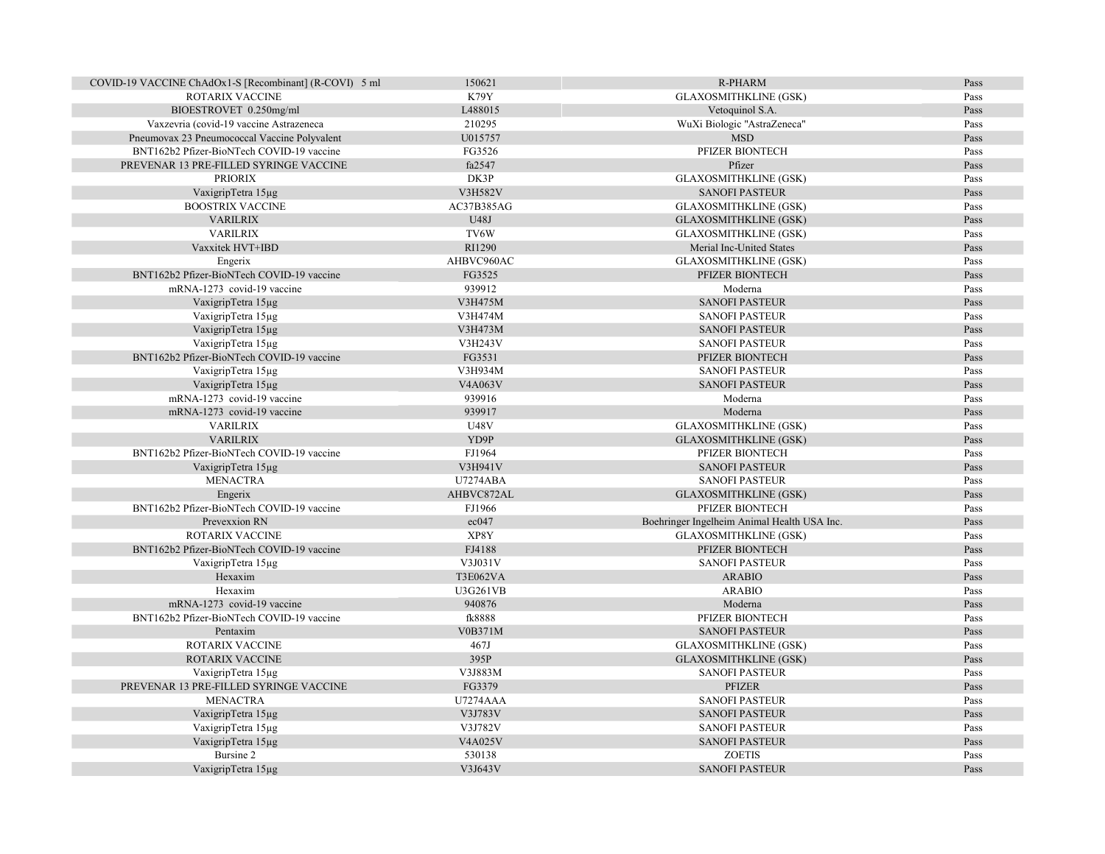| COVID-19 VACCINE ChAdOx1-S [Recombinant] (R-COVI) 5 ml | 150621          | R-PHARM                                     | Pass |
|--------------------------------------------------------|-----------------|---------------------------------------------|------|
| ROTARIX VACCINE                                        | K79Y            | <b>GLAXOSMITHKLINE (GSK)</b>                | Pass |
| BIOESTROVET 0.250mg/ml                                 | L488015         | Vetoquinol S.A.                             | Pass |
| Vaxzevria (covid-19 vaccine Astrazeneca                | 210295          | WuXi Biologic "AstraZeneca"                 | Pass |
| Pneumovax 23 Pneumococcal Vaccine Polyvalent           | U015757         | <b>MSD</b>                                  | Pass |
| BNT162b2 Pfizer-BioNTech COVID-19 vaccine              | FG3526          | PFIZER BIONTECH                             | Pass |
| PREVENAR 13 PRE-FILLED SYRINGE VACCINE                 | fa2547          | Pfizer                                      | Pass |
| <b>PRIORIX</b>                                         | DK3P            | <b>GLAXOSMITHKLINE (GSK)</b>                | Pass |
| VaxigripTetra 15µg                                     | V3H582V         | <b>SANOFI PASTEUR</b>                       | Pass |
| <b>BOOSTRIX VACCINE</b>                                | AC37B385AG      | <b>GLAXOSMITHKLINE (GSK)</b>                | Pass |
| <b>VARILRIX</b>                                        | U48J            | <b>GLAXOSMITHKLINE (GSK)</b>                | Pass |
| <b>VARILRIX</b>                                        | TV6W            | <b>GLAXOSMITHKLINE (GSK)</b>                | Pass |
| Vaxxitek HVT+IBD                                       | RI1290          | Merial Inc-United States                    | Pass |
| Engerix                                                | AHBVC960AC      | <b>GLAXOSMITHKLINE (GSK)</b>                | Pass |
| BNT162b2 Pfizer-BioNTech COVID-19 vaccine              | FG3525          | PFIZER BIONTECH                             | Pass |
| mRNA-1273 covid-19 vaccine                             | 939912          | Moderna                                     | Pass |
| VaxigripTetra 15µg                                     | V3H475M         | <b>SANOFI PASTEUR</b>                       | Pass |
| VaxigripTetra 15µg                                     | V3H474M         | <b>SANOFI PASTEUR</b>                       | Pass |
| VaxigripTetra 15µg                                     | V3H473M         | <b>SANOFI PASTEUR</b>                       | Pass |
| VaxigripTetra 15µg                                     | V3H243V         | <b>SANOFI PASTEUR</b>                       | Pass |
| BNT162b2 Pfizer-BioNTech COVID-19 vaccine              | FG3531          | PFIZER BIONTECH                             | Pass |
| VaxigripTetra 15µg                                     | V3H934M         | <b>SANOFI PASTEUR</b>                       | Pass |
| VaxigripTetra 15µg                                     | V4A063V         | <b>SANOFI PASTEUR</b>                       | Pass |
| mRNA-1273 covid-19 vaccine                             | 939916          | Moderna                                     | Pass |
| mRNA-1273 covid-19 vaccine                             | 939917          | Moderna                                     | Pass |
| <b>VARILRIX</b>                                        | <b>U48V</b>     | <b>GLAXOSMITHKLINE (GSK)</b>                | Pass |
| <b>VARILRIX</b>                                        | YD9P            | <b>GLAXOSMITHKLINE (GSK)</b>                | Pass |
| BNT162b2 Pfizer-BioNTech COVID-19 vaccine              | FJ1964          | PFIZER BIONTECH                             | Pass |
| VaxigripTetra 15µg                                     | V3H941V         | <b>SANOFI PASTEUR</b>                       | Pass |
| <b>MENACTRA</b>                                        | <b>U7274ABA</b> | <b>SANOFI PASTEUR</b>                       | Pass |
| Engerix                                                | AHBVC872AL      | <b>GLAXOSMITHKLINE (GSK)</b>                | Pass |
| BNT162b2 Pfizer-BioNTech COVID-19 vaccine              | FJ1966          | PFIZER BIONTECH                             | Pass |
| Prevexxion RN                                          | ec047           | Boehringer Ingelheim Animal Health USA Inc. | Pass |
| ROTARIX VACCINE                                        | XP8Y            | <b>GLAXOSMITHKLINE (GSK)</b>                | Pass |
| BNT162b2 Pfizer-BioNTech COVID-19 vaccine              | FJ4188          | PFIZER BIONTECH                             | Pass |
| VaxigripTetra 15µg                                     | V3J031V         | <b>SANOFI PASTEUR</b>                       | Pass |
| Hexaxim                                                | <b>T3E062VA</b> | <b>ARABIO</b>                               | Pass |
| Hexaxim                                                | U3G261VB        | <b>ARABIO</b>                               | Pass |
| mRNA-1273 covid-19 vaccine                             | 940876          | Moderna                                     | Pass |
| BNT162b2 Pfizer-BioNTech COVID-19 vaccine              | fk8888          | PFIZER BIONTECH                             | Pass |
| Pentaxim                                               | V0B371M         | <b>SANOFI PASTEUR</b>                       | Pass |
| ROTARIX VACCINE                                        | 467J            | <b>GLAXOSMITHKLINE (GSK)</b>                | Pass |
| ROTARIX VACCINE                                        | 395P            | <b>GLAXOSMITHKLINE (GSK)</b>                | Pass |
| VaxigripTetra 15µg                                     | V3J883M         | <b>SANOFI PASTEUR</b>                       | Pass |
| PREVENAR 13 PRE-FILLED SYRINGE VACCINE                 | FG3379          | <b>PFIZER</b>                               | Pass |
| <b>MENACTRA</b>                                        | <b>U7274AAA</b> | <b>SANOFI PASTEUR</b>                       | Pass |
| VaxigripTetra 15µg                                     | V3J783V         | <b>SANOFI PASTEUR</b>                       | Pass |
| VaxigripTetra 15µg                                     | V3J782V         | <b>SANOFI PASTEUR</b>                       | Pass |
| VaxigripTetra 15µg                                     | V4A025V         | <b>SANOFI PASTEUR</b>                       | Pass |
| Bursine 2                                              | 530138          | <b>ZOETIS</b>                               | Pass |
| VaxigripTetra 15µg                                     | V3J643V         | <b>SANOFI PASTEUR</b>                       | Pass |
|                                                        |                 |                                             |      |